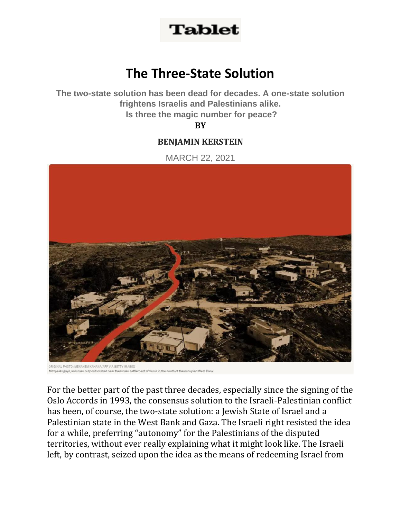## **Tablet**

## **The Three-State Solution**

**The two-state solution has been dead for decades. A one-state solution frightens Israelis and Palestinians alike. Is three the magic number for peace?**

**B[Y](https://www.tabletmag.com/contributors/benjamin-kerstein)**

## **[BENJAMIN](https://www.tabletmag.com/contributors/benjamin-kerstein) KERSTEIN**

MARCH 22, 2021



ent of Susia in the south of the oppunied West Bank Mitzpe Avigayil, an Israeli outpost located near the Israeli settle

For the better part of the past three decades, especially since the signing of the Oslo Accords in 1993, the consensus solution to the Israeli-Palestinian conflict has been, of course, the two-state solution: a Jewish State of Israel and a Palestinian state in the West Bank and Gaza. The Israeli right resisted the idea for a while, preferring "autonomy" for the Palestinians of the disputed territories, without ever really explaining what it might look like. The Israeli left, by contrast, seized upon the idea as the means of redeeming Israel from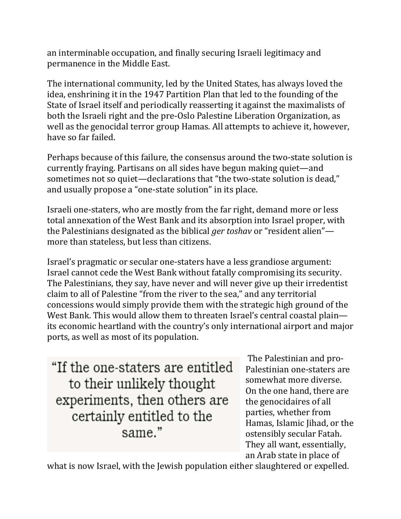an interminable occupation, and finally securing Israeli legitimacy and permanence in the Middle East.

The international community, led by the United States, has always loved the idea, enshrining it in the 1947 Partition Plan that led to the founding of the State of Israel itself and periodically reasserting it against the maximalists of both the Israeli right and the pre-Oslo Palestine Liberation Organization, as well as the genocidal terror group Hamas. All attempts to achieve it, however, have so far failed.

Perhaps because of this failure, the consensus around the two-state solution is currently fraying. Partisans on all sides have begun making quiet—and sometimes not so quiet—declarations that "the two-state solution is dead," and usually propose a "one-state solution" in its place.

Israeli one-staters, who are mostly from the far right, demand more or less total annexation of the West Bank and its absorption into Israel proper, with the Palestinians designated as the biblical *ger toshav* or "resident alien" more than stateless, but less than citizens.

Israel's pragmatic or secular one-staters have a less grandiose argument: Israel cannot cede the West Bank without fatally compromising its security. The Palestinians, they say, have never and will never give up their irredentist claim to all of Palestine "from the river to the sea," and any territorial concessions would simply provide them with the strategic high ground of the West Bank. This would allow them to threaten Israel's central coastal plain its economic heartland with the country's only international airport and major ports, as well as most of its population.

"If the one-staters are entitled to their unlikely thought experiments, then others are certainly entitled to the same."

The Palestinian and pro-Palestinian one-staters are somewhat more diverse. On the one hand, there are the genocidaires of all parties, whether from Hamas, Islamic Jihad, or the ostensibly secular Fatah. They all want, essentially, an Arab state in place of

what is now Israel, with the Jewish population either slaughtered or expelled.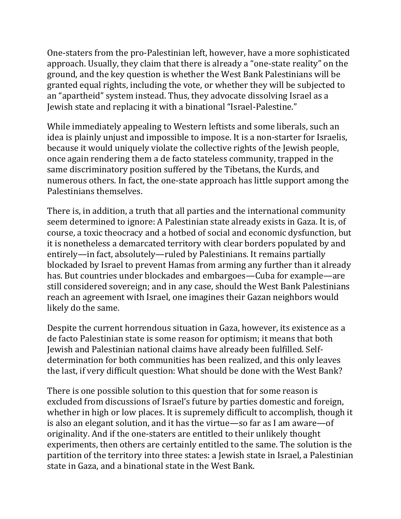One-staters from the pro-Palestinian left, however, have a more sophisticated approach. Usually, they claim that there is already a "one-state reality" on the ground, and the key question is whether the West Bank Palestinians will be granted equal rights, including the vote, or whether they will be subjected to an "apartheid" system instead. Thus, they advocate dissolving Israel as a Jewish state and replacing it with a binational "Israel-Palestine."

While immediately appealing to Western leftists and some liberals, such an idea is plainly unjust and impossible to impose. It is a non-starter for Israelis, because it would uniquely violate the collective rights of the Jewish people, once again rendering them a de facto stateless community, trapped in the same discriminatory position suffered by the Tibetans, the Kurds, and numerous others. In fact, the one-state approach has little support among the Palestinians themselves.

There is, in addition, a truth that all parties and the international community seem determined to ignore: A Palestinian state already exists in Gaza. It is, of course, a toxic theocracy and a hotbed of social and economic dysfunction, but it is nonetheless a demarcated territory with clear borders populated by and entirely—in fact, absolutely—ruled by Palestinians. It remains partially blockaded by Israel to prevent Hamas from arming any further than it already has. But countries under blockades and embargoes—Cuba for example—are still considered sovereign; and in any case, should the West Bank Palestinians reach an agreement with Israel, one imagines their Gazan neighbors would likely do the same.

Despite the current horrendous situation in Gaza, however, its existence as a de facto Palestinian state is some reason for optimism; it means that both Jewish and Palestinian national claims have already been fulfilled. Selfdetermination for both communities has been realized, and this only leaves the last, if very difficult question: What should be done with the West Bank?

There is one possible solution to this question that for some reason is excluded from discussions of Israel's future by parties domestic and foreign, whether in high or low places. It is supremely difficult to accomplish, though it is also an elegant solution, and it has the virtue—so far as I am aware—of originality. And if the one-staters are entitled to their unlikely thought experiments, then others are certainly entitled to the same. The solution is the partition of the territory into three states: a Jewish state in Israel, a Palestinian state in Gaza, and a binational state in the West Bank.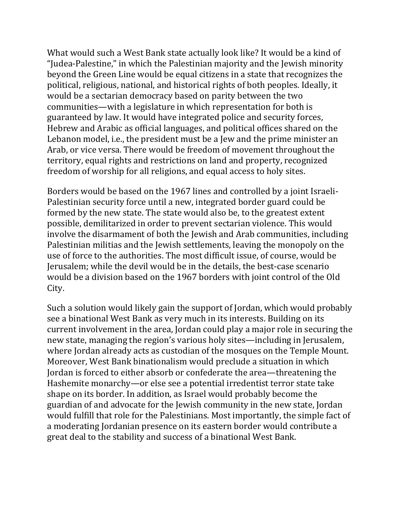What would such a West Bank state actually look like? It would be a kind of "Judea-Palestine," in which the Palestinian majority and the Jewish minority beyond the Green Line would be equal citizens in a state that recognizes the political, religious, national, and historical rights of both peoples. Ideally, it would be a sectarian democracy based on parity between the two communities—with a legislature in which representation for both is guaranteed by law. It would have integrated police and security forces, Hebrew and Arabic as official languages, and political offices shared on the Lebanon model, i.e., the president must be a Jew and the prime minister an Arab, or vice versa. There would be freedom of movement throughout the territory, equal rights and restrictions on land and property, recognized freedom of worship for all religions, and equal access to holy sites.

Borders would be based on the 1967 lines and controlled by a joint Israeli-Palestinian security force until a new, integrated border guard could be formed by the new state. The state would also be, to the greatest extent possible, demilitarized in order to prevent sectarian violence. This would involve the disarmament of both the Jewish and Arab communities, including Palestinian militias and the Jewish settlements, leaving the monopoly on the use of force to the authorities. The most difficult issue, of course, would be Jerusalem; while the devil would be in the details, the best-case scenario would be a division based on the 1967 borders with joint control of the Old City.

Such a solution would likely gain the support of Jordan, which would probably see a binational West Bank as very much in its interests. Building on its current involvement in the area, Jordan could play a major role in securing the new state, managing the region's various holy sites—including in Jerusalem, where Jordan already acts as custodian of the mosques on the Temple Mount. Moreover, West Bank binationalism would preclude a situation in which Jordan is forced to either absorb or confederate the area—threatening the Hashemite monarchy—or else see a potential irredentist terror state take shape on its border. In addition, as Israel would probably become the guardian of and advocate for the Jewish community in the new state, Jordan would fulfill that role for the Palestinians. Most importantly, the simple fact of a moderating Jordanian presence on its eastern border would contribute a great deal to the stability and success of a binational West Bank.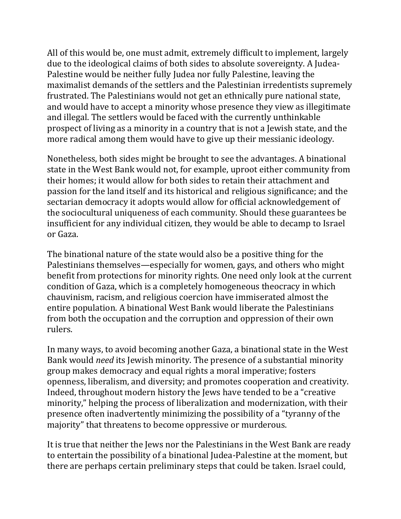All of this would be, one must admit, extremely difficult to implement, largely due to the ideological claims of both sides to absolute sovereignty. A Judea-Palestine would be neither fully Judea nor fully Palestine, leaving the maximalist demands of the settlers and the Palestinian irredentists supremely frustrated. The Palestinians would not get an ethnically pure national state, and would have to accept a minority whose presence they view as illegitimate and illegal. The settlers would be faced with the currently unthinkable prospect of living as a minority in a country that is not a Jewish state, and the more radical among them would have to give up their messianic ideology.

Nonetheless, both sides might be brought to see the advantages. A binational state in the West Bank would not, for example, uproot either community from their homes; it would allow for both sides to retain their attachment and passion for the land itself and its historical and religious significance; and the sectarian democracy it adopts would allow for official acknowledgement of the sociocultural uniqueness of each community. Should these guarantees be insufficient for any individual citizen, they would be able to decamp to Israel or Gaza.

The binational nature of the state would also be a positive thing for the Palestinians themselves—especially for women, gays, and others who might benefit from protections for minority rights. One need only look at the current condition of Gaza, which is a completely homogeneous theocracy in which chauvinism, racism, and religious coercion have immiserated almost the entire population. A binational West Bank would liberate the Palestinians from both the occupation and the corruption and oppression of their own rulers.

In many ways, to avoid becoming another Gaza, a binational state in the West Bank would *need* its Jewish minority. The presence of a substantial minority group makes democracy and equal rights a moral imperative; fosters openness, liberalism, and diversity; and promotes cooperation and creativity. Indeed, throughout modern history the Jews have tended to be a "creative minority," helping the process of liberalization and modernization, with their presence often inadvertently minimizing the possibility of a "tyranny of the majority" that threatens to become oppressive or murderous.

It is true that neither the Jews nor the Palestinians in the West Bank are ready to entertain the possibility of a binational Judea-Palestine at the moment, but there are perhaps certain preliminary steps that could be taken. Israel could,